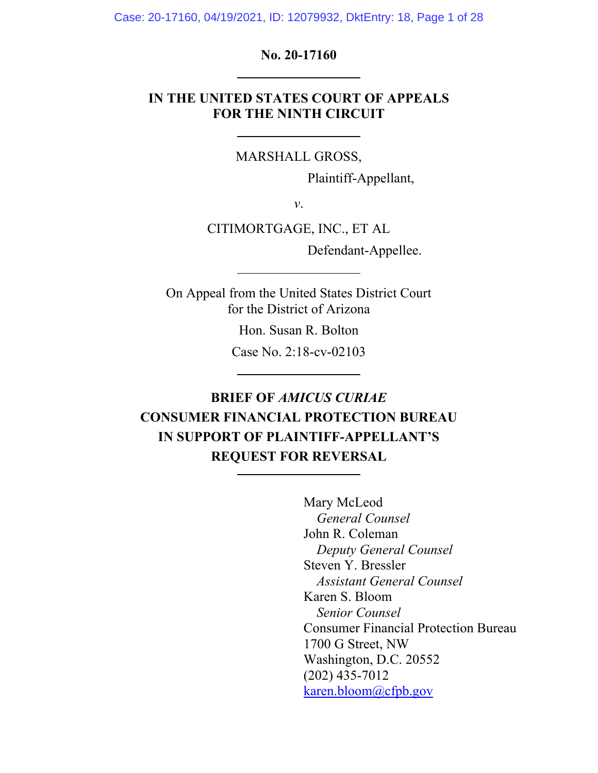Case: 20-17160, 04/19/2021, ID: 12079932, DktEntry: 18, Page 1 of 28

## **No. 20-17160**

# **IN THE UNITED STATES COURT OF APPEALS FOR THE NINTH CIRCUIT**

MARSHALL GROSS,

Plaintiff-Appellant,

*v*.

CITIMORTGAGE, INC., ET AL

Defendant-Appellee.

On Appeal from the United States District Court for the District of Arizona

Hon. Susan R. Bolton

Case No. 2:18-cv-02103

# **BRIEF OF** *AMICUS CURIAE* **CONSUMER FINANCIAL PROTECTION BUREAU IN SUPPORT OF PLAINTIFF-APPELLANT'S REQUEST FOR REVERSAL**

Mary McLeod *General Counsel* John R. Coleman *Deputy General Counsel*  Steven Y. Bressler *Assistant General Counsel*  Karen S. Bloom *Senior Counsel*  Consumer Financial Protection Bureau 1700 G Street, NW Washington, D.C. 20552 (202) 435-7012 karen.bloom@cfpb.gov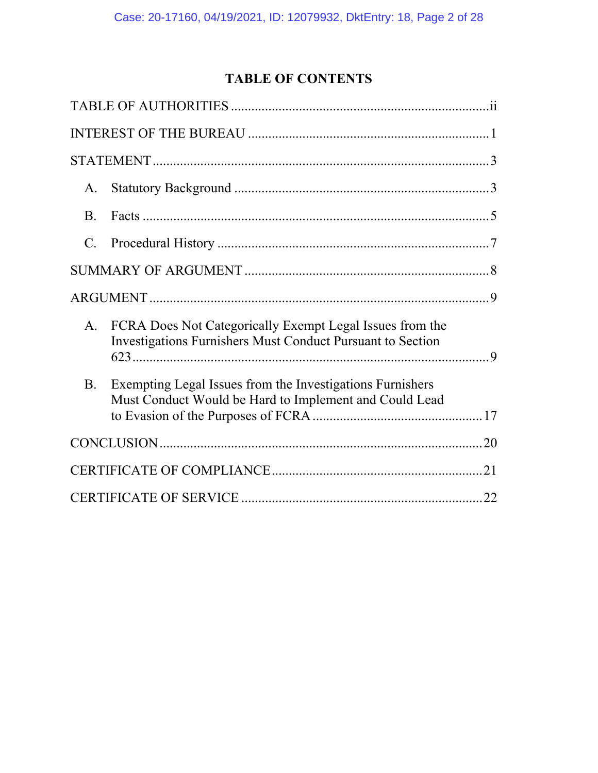# **TABLE OF CONTENTS**

| A.              |                                                                                                                               |  |
|-----------------|-------------------------------------------------------------------------------------------------------------------------------|--|
| <b>B.</b>       |                                                                                                                               |  |
| $\mathcal{C}$ . |                                                                                                                               |  |
|                 |                                                                                                                               |  |
|                 |                                                                                                                               |  |
| A.              | FCRA Does Not Categorically Exempt Legal Issues from the<br><b>Investigations Furnishers Must Conduct Pursuant to Section</b> |  |
| B.              | Exempting Legal Issues from the Investigations Furnishers<br>Must Conduct Would be Hard to Implement and Could Lead           |  |
|                 |                                                                                                                               |  |
|                 |                                                                                                                               |  |
|                 |                                                                                                                               |  |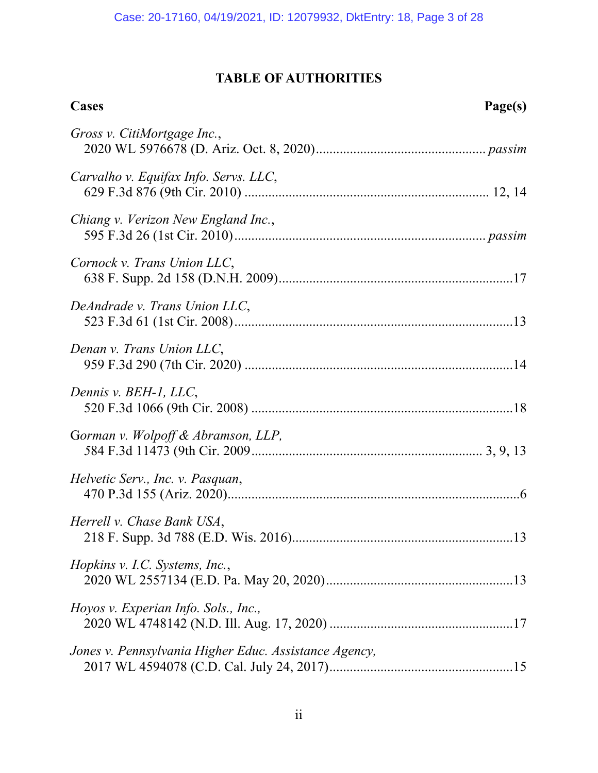# **TABLE OF AUTHORITIES**

| <b>Cases</b>                                          | Page(s) |
|-------------------------------------------------------|---------|
| Gross v. CitiMortgage Inc.,                           |         |
| Carvalho v. Equifax Info. Servs. LLC,                 |         |
| Chiang v. Verizon New England Inc.,                   |         |
| Cornock v. Trans Union LLC,                           |         |
| DeAndrade v. Trans Union LLC,                         |         |
| Denan v. Trans Union LLC,                             |         |
| Dennis v. BEH-1, LLC,                                 |         |
| Gorman v. Wolpoff & Abramson, LLP,                    |         |
| Helvetic Serv., Inc. v. Pasquan,                      |         |
| Herrell v. Chase Bank USA,                            |         |
| Hopkins v. I.C. Systems, Inc.,                        |         |
| Hoyos v. Experian Info. Sols., Inc.,                  |         |
| Jones v. Pennsylvania Higher Educ. Assistance Agency, |         |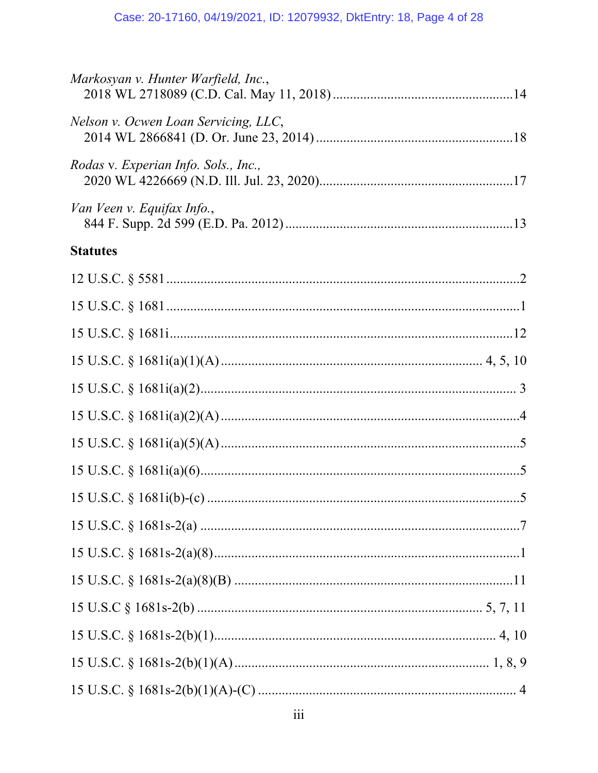| Markosyan v. Hunter Warfield, Inc.,  |  |
|--------------------------------------|--|
| Nelson v. Ocwen Loan Servicing, LLC, |  |
| Rodas v. Experian Info. Sols., Inc., |  |
| Van Veen v. Equifax Info.,           |  |
| <b>Statutes</b>                      |  |
|                                      |  |
|                                      |  |
|                                      |  |
|                                      |  |
|                                      |  |
|                                      |  |
|                                      |  |
|                                      |  |
|                                      |  |
|                                      |  |
|                                      |  |
|                                      |  |
|                                      |  |
|                                      |  |
|                                      |  |
|                                      |  |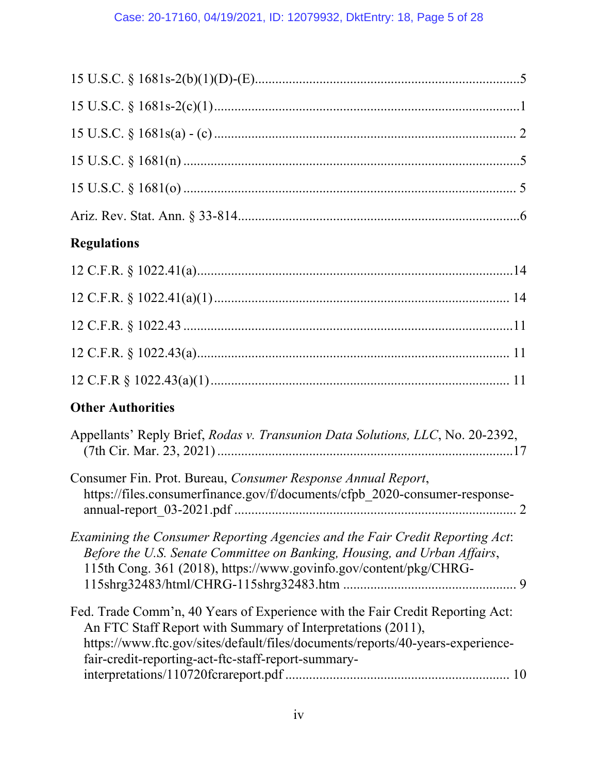| <b>Regulations</b>                                                                                                                                                                                                                                                                    |
|---------------------------------------------------------------------------------------------------------------------------------------------------------------------------------------------------------------------------------------------------------------------------------------|
|                                                                                                                                                                                                                                                                                       |
|                                                                                                                                                                                                                                                                                       |
|                                                                                                                                                                                                                                                                                       |
|                                                                                                                                                                                                                                                                                       |
|                                                                                                                                                                                                                                                                                       |
| <b>Other Authorities</b>                                                                                                                                                                                                                                                              |
| Appellants' Reply Brief, Rodas v. Transunion Data Solutions, LLC, No. 20-2392,                                                                                                                                                                                                        |
| Consumer Fin. Prot. Bureau, Consumer Response Annual Report,<br>https://files.consumerfinance.gov/f/documents/cfpb 2020-consumer-response-                                                                                                                                            |
| Examining the Consumer Reporting Agencies and the Fair Credit Reporting Act:<br>Before the U.S. Senate Committee on Banking, Housing, and Urban Affairs,<br>115th Cong. 361 (2018), https://www.govinfo.gov/content/pkg/CHRG-                                                         |
| Fed. Trade Comm'n, 40 Years of Experience with the Fair Credit Reporting Act:<br>An FTC Staff Report with Summary of Interpretations (2011),<br>https://www.ftc.gov/sites/default/files/documents/reports/40-years-experience-<br>fair-credit-reporting-act-ftc-staff-report-summary- |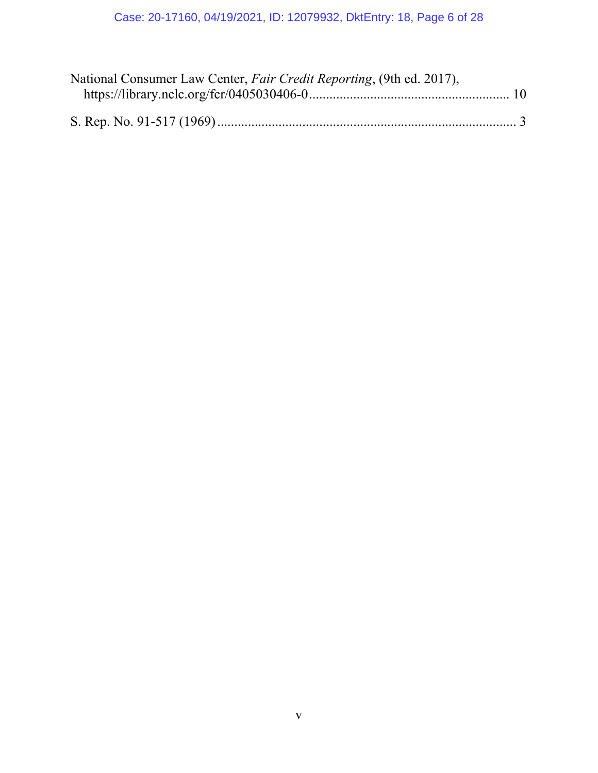| National Consumer Law Center, Fair Credit Reporting, (9th ed. 2017), |  |
|----------------------------------------------------------------------|--|
|                                                                      |  |
|                                                                      |  |
|                                                                      |  |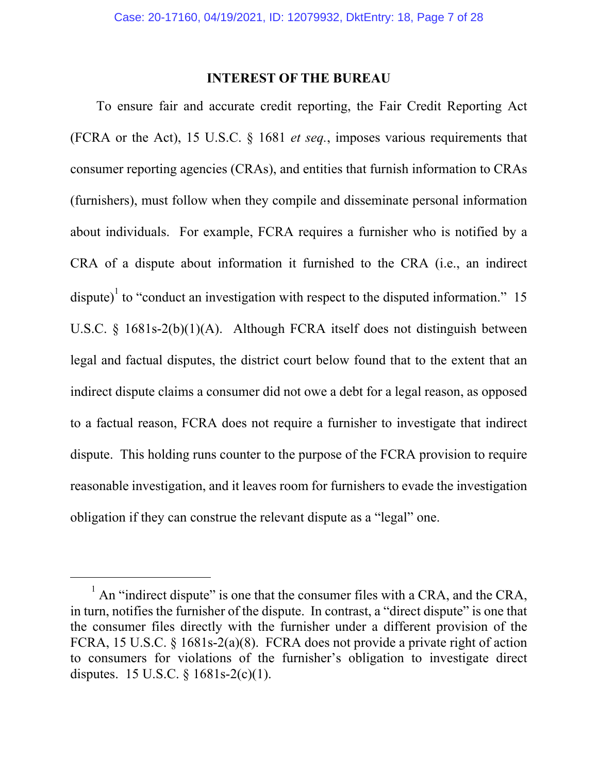### **INTEREST OF THE BUREAU**

To ensure fair and accurate credit reporting, the Fair Credit Reporting Act (FCRA or the Act), 15 U.S.C. § 1681 *et seq.*, imposes various requirements that consumer reporting agencies (CRAs), and entities that furnish information to CRAs (furnishers), must follow when they compile and disseminate personal information about individuals. For example, FCRA requires a furnisher who is notified by a CRA of a dispute about information it furnished to the CRA (i.e., an indirect dispute)<sup>1</sup> to "conduct an investigation with respect to the disputed information." 15 U.S.C. § 1681s-2(b)(1)(A). Although FCRA itself does not distinguish between legal and factual disputes, the district court below found that to the extent that an indirect dispute claims a consumer did not owe a debt for a legal reason, as opposed to a factual reason, FCRA does not require a furnisher to investigate that indirect dispute. This holding runs counter to the purpose of the FCRA provision to require reasonable investigation, and it leaves room for furnishers to evade the investigation obligation if they can construe the relevant dispute as a "legal" one.

<sup>&</sup>lt;sup>1</sup> An "indirect dispute" is one that the consumer files with a CRA, and the CRA, in turn, notifies the furnisher of the dispute. In contrast, a "direct dispute" is one that the consumer files directly with the furnisher under a different provision of the FCRA, 15 U.S.C. § 1681s-2(a)(8). FCRA does not provide a private right of action to consumers for violations of the furnisher's obligation to investigate direct disputes. 15 U.S.C. § 1681s-2(c)(1).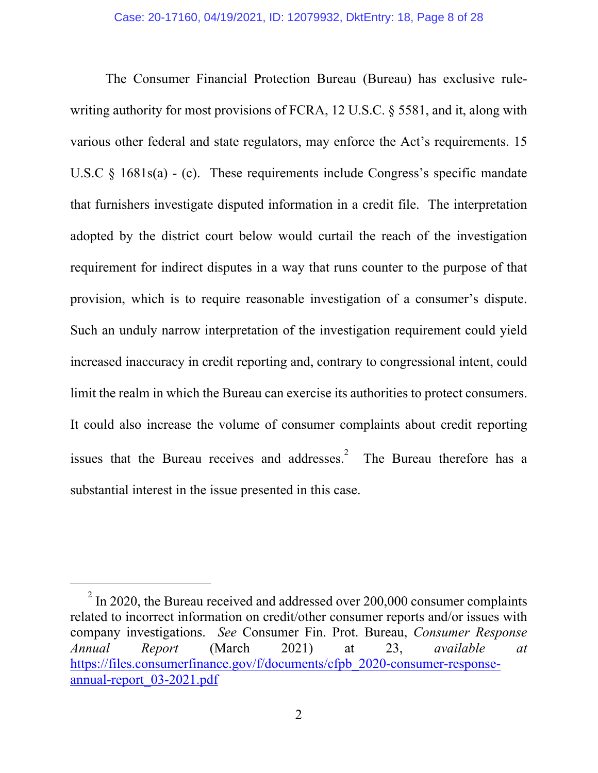The Consumer Financial Protection Bureau (Bureau) has exclusive rulewriting authority for most provisions of FCRA, 12 U.S.C. § 5581, and it, along with various other federal and state regulators, may enforce the Act's requirements. 15 U.S.C  $\&$  1681s(a) - (c). These requirements include Congress's specific mandate that furnishers investigate disputed information in a credit file. The interpretation adopted by the district court below would curtail the reach of the investigation requirement for indirect disputes in a way that runs counter to the purpose of that provision, which is to require reasonable investigation of a consumer's dispute. Such an unduly narrow interpretation of the investigation requirement could yield increased inaccuracy in credit reporting and, contrary to congressional intent, could limit the realm in which the Bureau can exercise its authorities to protect consumers. It could also increase the volume of consumer complaints about credit reporting issues that the Bureau receives and addresses.<sup>2</sup> The Bureau therefore has a substantial interest in the issue presented in this case.

 $2^{2}$  In 2020, the Bureau received and addressed over 200,000 consumer complaints related to incorrect information on credit/other consumer reports and/or issues with company investigations. *See* Consumer Fin. Prot. Bureau, *Consumer Response Annual Report* (March 2021) at 23, *available at* https://files.consumerfinance.gov/f/documents/cfpb\_2020-consumer-responseannual-report\_03-2021.pdf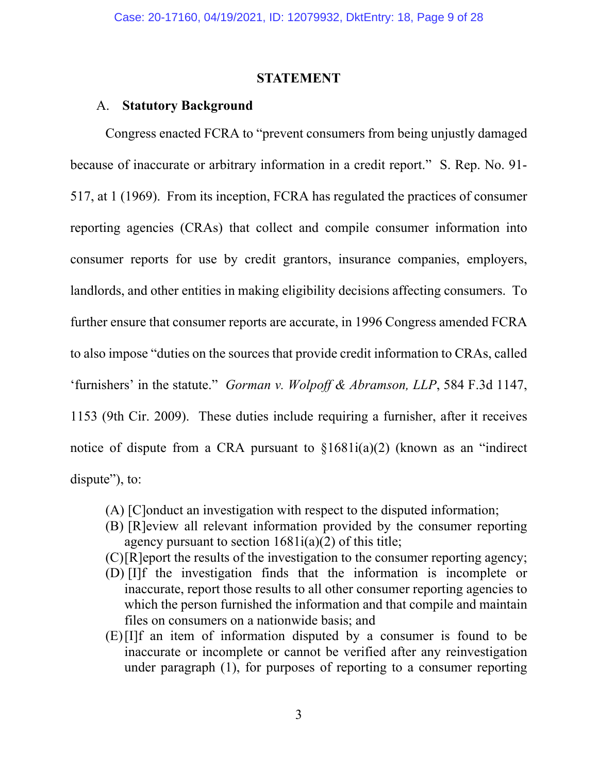#### **STATEMENT**

#### A. **Statutory Background**

Congress enacted FCRA to "prevent consumers from being unjustly damaged because of inaccurate or arbitrary information in a credit report." S. Rep. No. 91- 517, at 1 (1969). From its inception, FCRA has regulated the practices of consumer reporting agencies (CRAs) that collect and compile consumer information into consumer reports for use by credit grantors, insurance companies, employers, landlords, and other entities in making eligibility decisions affecting consumers. To further ensure that consumer reports are accurate, in 1996 Congress amended FCRA to also impose "duties on the sources that provide credit information to CRAs, called 'furnishers' in the statute." *Gorman v. Wolpoff & Abramson, LLP*, 584 F.3d 1147, 1153 (9th Cir. 2009). These duties include requiring a furnisher, after it receives notice of dispute from a CRA pursuant to  $\S1681i(a)(2)$  (known as an "indirect dispute"), to:

- (A) [C]onduct an investigation with respect to the disputed information;
- (B) [R]eview all relevant information provided by the consumer reporting agency pursuant to section  $1681i(a)(2)$  of this title;
- (C)[R]eport the results of the investigation to the consumer reporting agency;
- (D) [I]f the investigation finds that the information is incomplete or inaccurate, report those results to all other consumer reporting agencies to which the person furnished the information and that compile and maintain files on consumers on a nationwide basis; and
- (E)[I]f an item of information disputed by a consumer is found to be inaccurate or incomplete or cannot be verified after any reinvestigation under paragraph (1), for purposes of reporting to a consumer reporting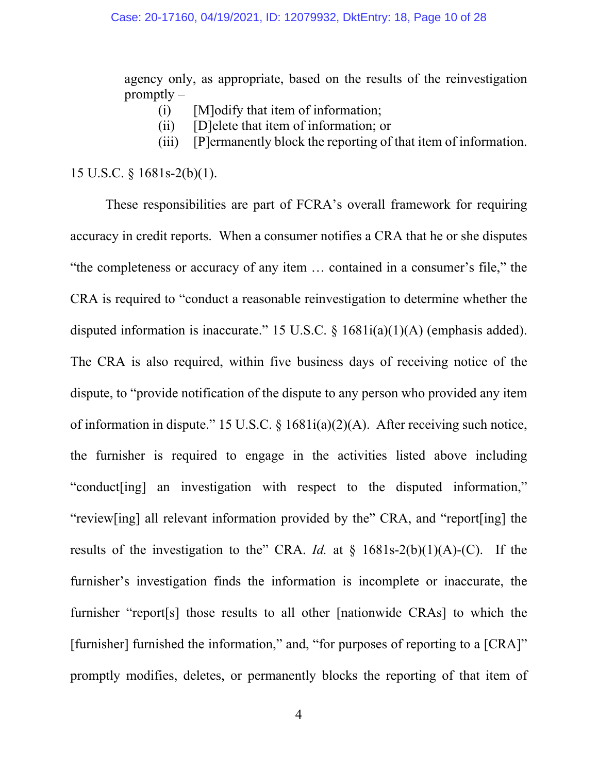agency only, as appropriate, based on the results of the reinvestigation promptly –

- (i) [M]odify that item of information;
- (ii) [D]elete that item of information; or
- (iii) [P]ermanently block the reporting of that item of information.

15 U.S.C. § 1681s-2(b)(1).

 These responsibilities are part of FCRA's overall framework for requiring accuracy in credit reports. When a consumer notifies a CRA that he or she disputes "the completeness or accuracy of any item … contained in a consumer's file," the CRA is required to "conduct a reasonable reinvestigation to determine whether the disputed information is inaccurate." 15 U.S.C. § 1681i(a)(1)(A) (emphasis added). The CRA is also required, within five business days of receiving notice of the dispute, to "provide notification of the dispute to any person who provided any item of information in dispute." 15 U.S.C. § 1681i(a)(2)(A). After receiving such notice, the furnisher is required to engage in the activities listed above including "conduct[ing] an investigation with respect to the disputed information," "review[ing] all relevant information provided by the" CRA, and "report[ing] the results of the investigation to the" CRA. *Id.* at  $\S$  1681s-2(b)(1)(A)-(C). If the furnisher's investigation finds the information is incomplete or inaccurate, the furnisher "report[s] those results to all other [nationwide CRAs] to which the [furnisher] furnished the information," and, "for purposes of reporting to a [CRA]" promptly modifies, deletes, or permanently blocks the reporting of that item of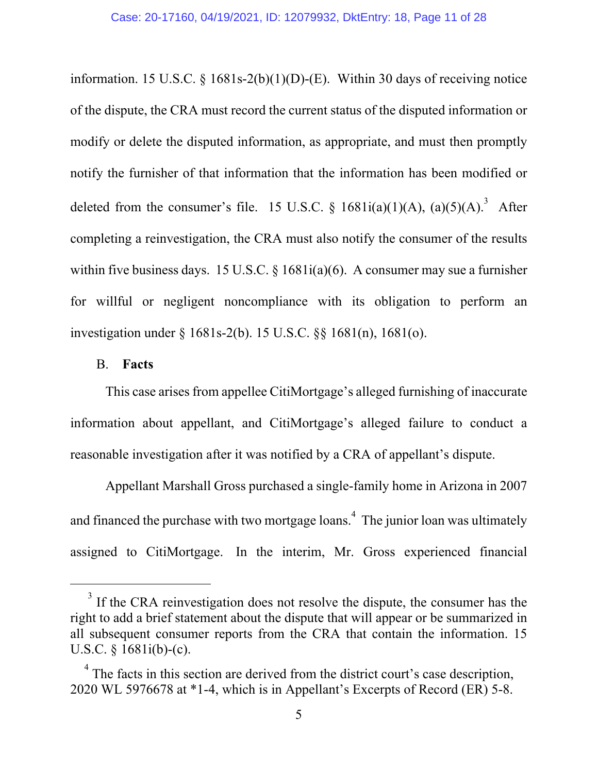information. 15 U.S.C.  $\S$  1681s-2(b)(1)(D)-(E). Within 30 days of receiving notice of the dispute, the CRA must record the current status of the disputed information or modify or delete the disputed information, as appropriate, and must then promptly notify the furnisher of that information that the information has been modified or deleted from the consumer's file. 15 U.S.C. §  $1681i(a)(1)(A)$ ,  $(a)(5)(A)$ .<sup>3</sup> After completing a reinvestigation, the CRA must also notify the consumer of the results within five business days. 15 U.S.C. § 1681i(a)(6). A consumer may sue a furnisher for willful or negligent noncompliance with its obligation to perform an investigation under § 1681s-2(b). 15 U.S.C. §§ 1681(n), 1681(o).

## B. **Facts**

This case arises from appellee CitiMortgage's alleged furnishing of inaccurate information about appellant, and CitiMortgage's alleged failure to conduct a reasonable investigation after it was notified by a CRA of appellant's dispute.

 Appellant Marshall Gross purchased a single-family home in Arizona in 2007 and financed the purchase with two mortgage loans. $^{4}$  The junior loan was ultimately assigned to CitiMortgage. In the interim, Mr. Gross experienced financial

 $3$  If the CRA reinvestigation does not resolve the dispute, the consumer has the right to add a brief statement about the dispute that will appear or be summarized in all subsequent consumer reports from the CRA that contain the information. 15 U.S.C. § 1681i(b)-(c).

 $4$  The facts in this section are derived from the district court's case description, 2020 WL 5976678 at \*1-4, which is in Appellant's Excerpts of Record (ER) 5-8.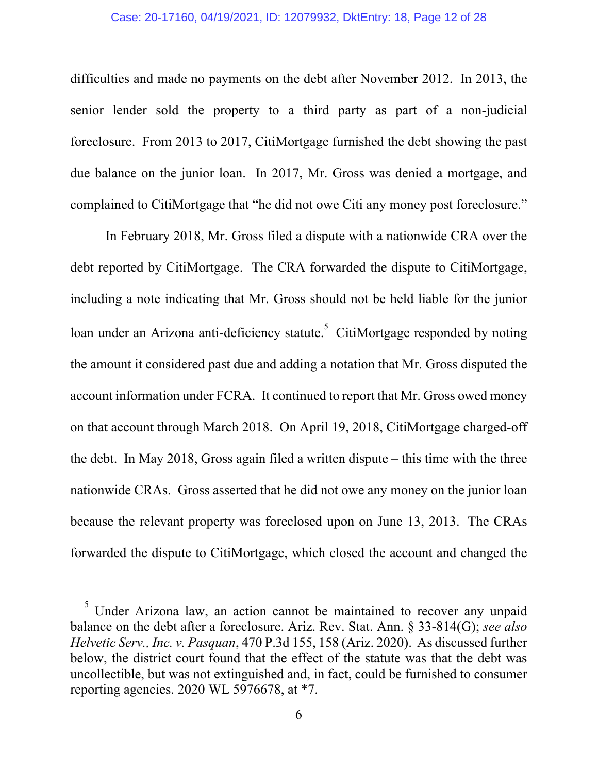### Case: 20-17160, 04/19/2021, ID: 12079932, DktEntry: 18, Page 12 of 28

difficulties and made no payments on the debt after November 2012. In 2013, the senior lender sold the property to a third party as part of a non-judicial foreclosure. From 2013 to 2017, CitiMortgage furnished the debt showing the past due balance on the junior loan. In 2017, Mr. Gross was denied a mortgage, and complained to CitiMortgage that "he did not owe Citi any money post foreclosure."

 In February 2018, Mr. Gross filed a dispute with a nationwide CRA over the debt reported by CitiMortgage. The CRA forwarded the dispute to CitiMortgage, including a note indicating that Mr. Gross should not be held liable for the junior loan under an Arizona anti-deficiency statute.<sup>5</sup> CitiMortgage responded by noting the amount it considered past due and adding a notation that Mr. Gross disputed the account information under FCRA. It continued to report that Mr. Gross owed money on that account through March 2018. On April 19, 2018, CitiMortgage charged-off the debt. In May 2018, Gross again filed a written dispute – this time with the three nationwide CRAs. Gross asserted that he did not owe any money on the junior loan because the relevant property was foreclosed upon on June 13, 2013. The CRAs forwarded the dispute to CitiMortgage, which closed the account and changed the

 $<sup>5</sup>$  Under Arizona law, an action cannot be maintained to recover any unpaid</sup> balance on the debt after a foreclosure. Ariz. Rev. Stat. Ann. § 33-814(G); *see also Helvetic Serv., Inc. v. Pasquan*, 470 P.3d 155, 158 (Ariz. 2020). As discussed further below, the district court found that the effect of the statute was that the debt was uncollectible, but was not extinguished and, in fact, could be furnished to consumer reporting agencies. 2020 WL 5976678, at \*7.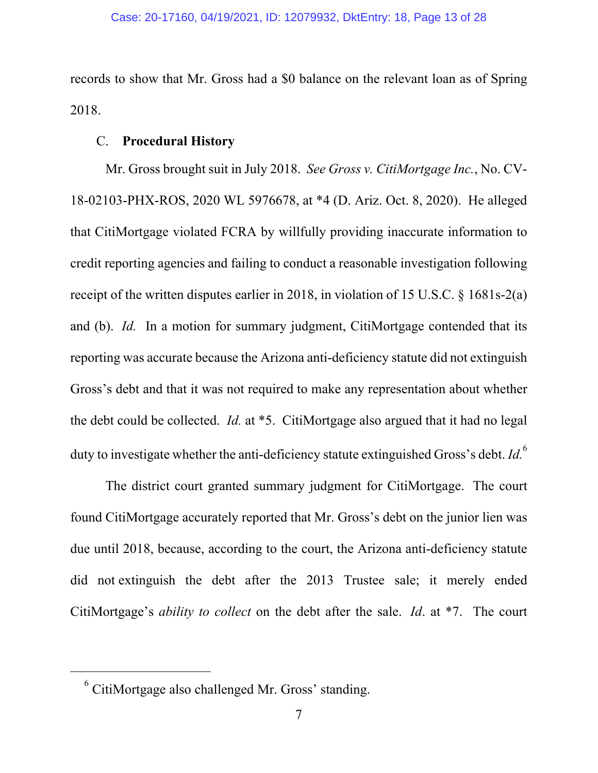records to show that Mr. Gross had a \$0 balance on the relevant loan as of Spring 2018.

# C. **Procedural History**

Mr. Gross brought suit in July 2018. *See Gross v. CitiMortgage Inc.*, No. CV-18-02103-PHX-ROS, 2020 WL 5976678, at \*4 (D. Ariz. Oct. 8, 2020). He alleged that CitiMortgage violated FCRA by willfully providing inaccurate information to credit reporting agencies and failing to conduct a reasonable investigation following receipt of the written disputes earlier in 2018, in violation of 15 U.S.C. § 1681s-2(a) and (b). *Id.* In a motion for summary judgment, CitiMortgage contended that its reporting was accurate because the Arizona anti-deficiency statute did not extinguish Gross's debt and that it was not required to make any representation about whether the debt could be collected. *Id.* at \*5. CitiMortgage also argued that it had no legal duty to investigate whether the anti-deficiency statute extinguished Gross's debt. *Id.*<sup>6</sup>

The district court granted summary judgment for CitiMortgage. The court found CitiMortgage accurately reported that Mr. Gross's debt on the junior lien was due until 2018, because, according to the court, the Arizona anti-deficiency statute did not extinguish the debt after the 2013 Trustee sale; it merely ended CitiMortgage's *ability to collect* on the debt after the sale. *Id*. at \*7. The court

<sup>&</sup>lt;sup>6</sup> CitiMortgage also challenged Mr. Gross' standing.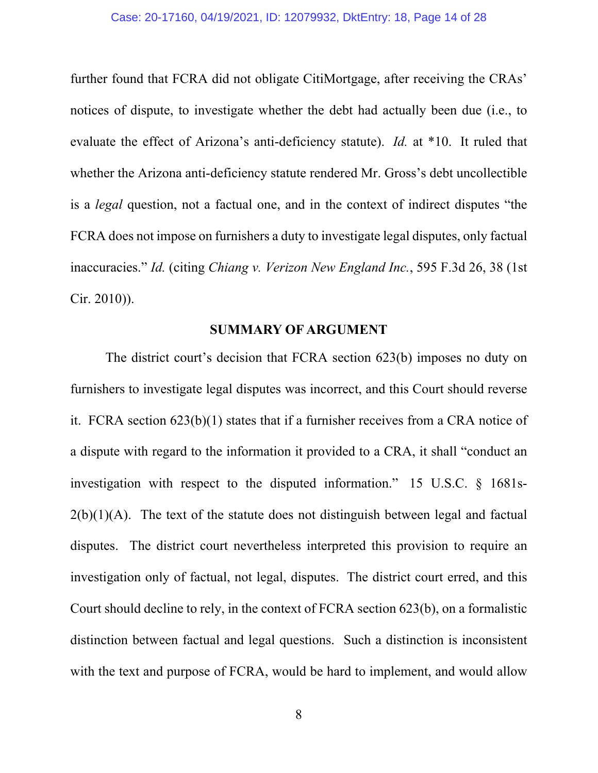further found that FCRA did not obligate CitiMortgage, after receiving the CRAs' notices of dispute, to investigate whether the debt had actually been due (i.e., to evaluate the effect of Arizona's anti-deficiency statute). *Id.* at \*10. It ruled that whether the Arizona anti-deficiency statute rendered Mr. Gross's debt uncollectible is a *legal* question, not a factual one, and in the context of indirect disputes "the FCRA does not impose on furnishers a duty to investigate legal disputes, only factual inaccuracies." *Id.* (citing *Chiang v. Verizon New England Inc.*, 595 F.3d 26, 38 (1st Cir. 2010)).

### **SUMMARY OF ARGUMENT**

The district court's decision that FCRA section 623(b) imposes no duty on furnishers to investigate legal disputes was incorrect, and this Court should reverse it. FCRA section 623(b)(1) states that if a furnisher receives from a CRA notice of a dispute with regard to the information it provided to a CRA, it shall "conduct an investigation with respect to the disputed information." 15 U.S.C. § 1681s- $2(b)(1)(A)$ . The text of the statute does not distinguish between legal and factual disputes. The district court nevertheless interpreted this provision to require an investigation only of factual, not legal, disputes. The district court erred, and this Court should decline to rely, in the context of FCRA section 623(b), on a formalistic distinction between factual and legal questions. Such a distinction is inconsistent with the text and purpose of FCRA, would be hard to implement, and would allow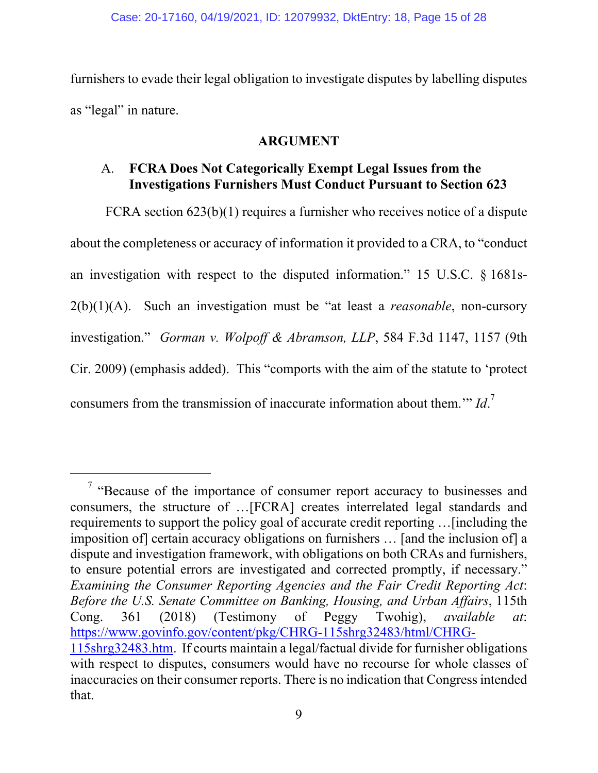furnishers to evade their legal obligation to investigate disputes by labelling disputes as "legal" in nature.

## **ARGUMENT**

## A. **FCRA Does Not Categorically Exempt Legal Issues from the Investigations Furnishers Must Conduct Pursuant to Section 623**

FCRA section 623(b)(1) requires a furnisher who receives notice of a dispute about the completeness or accuracy of information it provided to a CRA, to "conduct an investigation with respect to the disputed information." 15 U.S.C. § 1681s-2(b)(1)(A). Such an investigation must be "at least a *reasonable*, non-cursory investigation." *Gorman v. Wolpoff & Abramson, LLP*, 584 F.3d 1147, 1157 (9th Cir. 2009) (emphasis added). This "comports with the aim of the statute to 'protect consumers from the transmission of inaccurate information about them.'" *Id*. 7

<sup>&</sup>lt;sup>7</sup> "Because of the importance of consumer report accuracy to businesses and consumers, the structure of …[FCRA] creates interrelated legal standards and requirements to support the policy goal of accurate credit reporting …[including the imposition of] certain accuracy obligations on furnishers … [and the inclusion of] a dispute and investigation framework, with obligations on both CRAs and furnishers, to ensure potential errors are investigated and corrected promptly, if necessary." *Examining the Consumer Reporting Agencies and the Fair Credit Reporting Act*: *Before the U.S. Senate Committee on Banking, Housing, and Urban Affairs*, 115th Cong. 361 (2018) (Testimony of Peggy Twohig), *available at*: https://www.govinfo.gov/content/pkg/CHRG-115shrg32483/html/CHRG-115shrg32483.htm. If courts maintain a legal/factual divide for furnisher obligations with respect to disputes, consumers would have no recourse for whole classes of inaccuracies on their consumer reports. There is no indication that Congress intended that.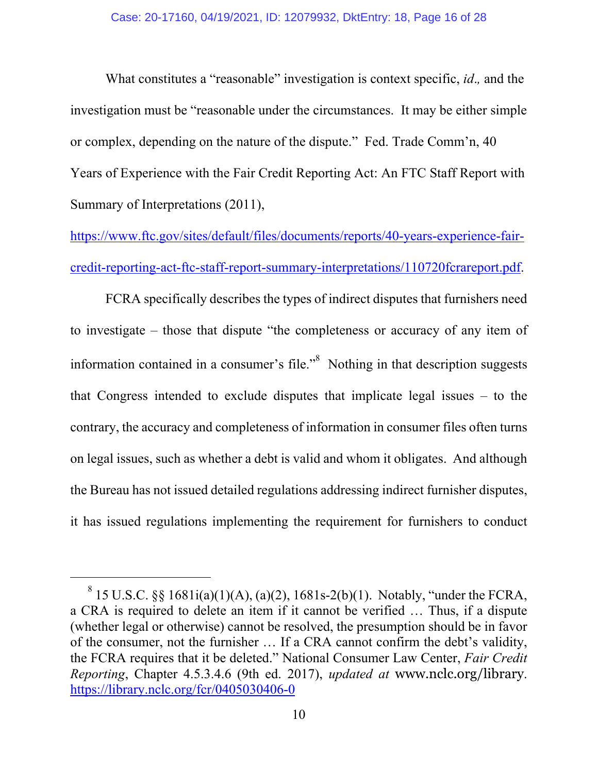What constitutes a "reasonable" investigation is context specific, *id*.*,* and the investigation must be "reasonable under the circumstances. It may be either simple or complex, depending on the nature of the dispute." Fed. Trade Comm'n, 40 Years of Experience with the Fair Credit Reporting Act: An FTC Staff Report with Summary of Interpretations (2011),

https://www.ftc.gov/sites/default/files/documents/reports/40-years-experience-faircredit-reporting-act-ftc-staff-report-summary-interpretations/110720fcrareport.pdf.

FCRA specifically describes the types of indirect disputes that furnishers need to investigate – those that dispute "the completeness or accuracy of any item of information contained in a consumer's file. $\cdot$ <sup>8</sup> Nothing in that description suggests that Congress intended to exclude disputes that implicate legal issues – to the contrary, the accuracy and completeness of information in consumer files often turns on legal issues, such as whether a debt is valid and whom it obligates. And although the Bureau has not issued detailed regulations addressing indirect furnisher disputes, it has issued regulations implementing the requirement for furnishers to conduct

<sup>&</sup>lt;sup>8</sup> 15 U.S.C. §§ 1681i(a)(1)(A), (a)(2), 1681s-2(b)(1). Notably, "under the FCRA, a CRA is required to delete an item if it cannot be verified … Thus, if a dispute (whether legal or otherwise) cannot be resolved, the presumption should be in favor of the consumer, not the furnisher … If a CRA cannot confirm the debt's validity, the FCRA requires that it be deleted." National Consumer Law Center, *Fair Credit Reporting*, Chapter 4.5.3.4.6 (9th ed. 2017), *updated at* www.nclc.org/library. https://library.nclc.org/fcr/0405030406-0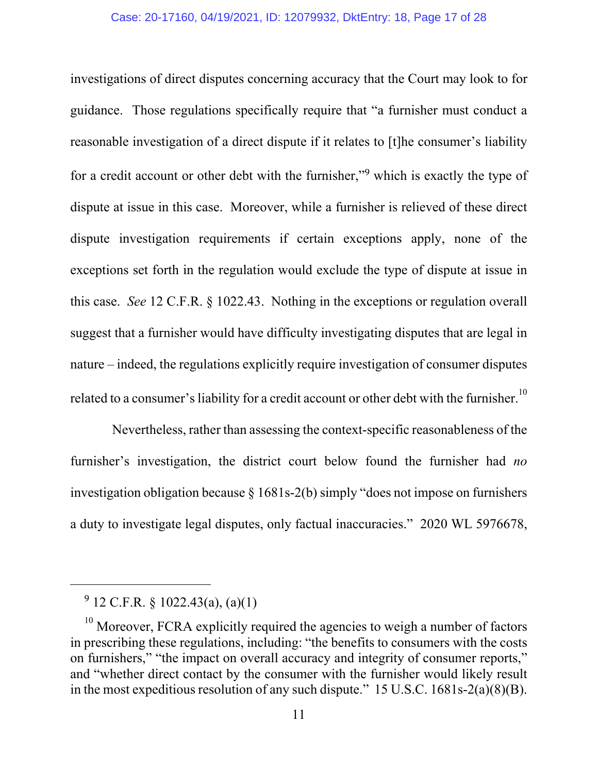investigations of direct disputes concerning accuracy that the Court may look to for guidance. Those regulations specifically require that "a furnisher must conduct a reasonable investigation of a direct dispute if it relates to [t]he consumer's liability for a credit account or other debt with the furnisher,"<sup>9</sup> which is exactly the type of dispute at issue in this case. Moreover, while a furnisher is relieved of these direct dispute investigation requirements if certain exceptions apply, none of the exceptions set forth in the regulation would exclude the type of dispute at issue in this case. *See* 12 C.F.R. § 1022.43. Nothing in the exceptions or regulation overall suggest that a furnisher would have difficulty investigating disputes that are legal in nature – indeed, the regulations explicitly require investigation of consumer disputes related to a consumer's liability for a credit account or other debt with the furnisher.<sup>10</sup>

 Nevertheless, rather than assessing the context-specific reasonableness of the furnisher's investigation, the district court below found the furnisher had *no*  investigation obligation because § 1681s-2(b) simply "does not impose on furnishers a duty to investigate legal disputes, only factual inaccuracies." 2020 WL 5976678,

<sup>9</sup> 12 C.F.R. § 1022.43(a), (a)(1)

 $10$  Moreover, FCRA explicitly required the agencies to weigh a number of factors in prescribing these regulations, including: "the benefits to consumers with the costs on furnishers," "the impact on overall accuracy and integrity of consumer reports," and "whether direct contact by the consumer with the furnisher would likely result in the most expeditious resolution of any such dispute." 15 U.S.C. 1681s-2(a)(8)(B).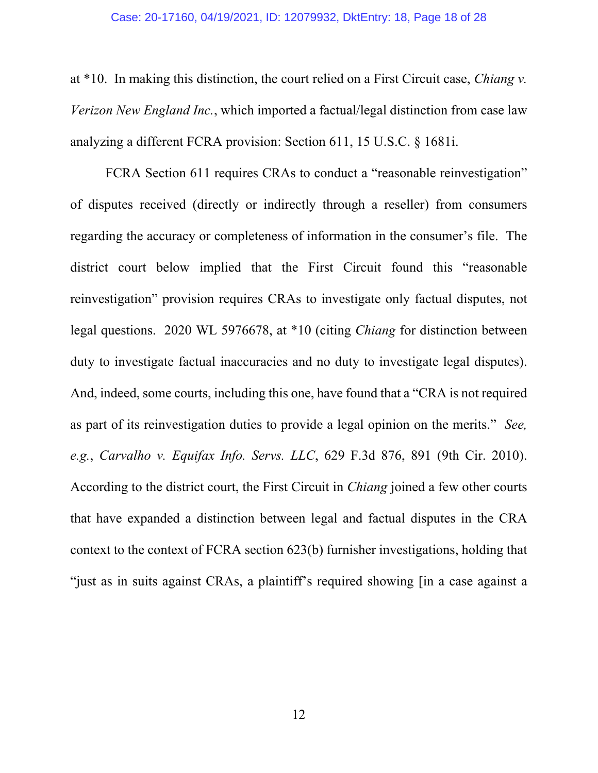at \*10. In making this distinction, the court relied on a First Circuit case, *Chiang v. Verizon New England Inc.*, which imported a factual/legal distinction from case law analyzing a different FCRA provision: Section 611, 15 U.S.C. § 1681i.

FCRA Section 611 requires CRAs to conduct a "reasonable reinvestigation" of disputes received (directly or indirectly through a reseller) from consumers regarding the accuracy or completeness of information in the consumer's file. The district court below implied that the First Circuit found this "reasonable reinvestigation" provision requires CRAs to investigate only factual disputes, not legal questions. 2020 WL 5976678, at \*10 (citing *Chiang* for distinction between duty to investigate factual inaccuracies and no duty to investigate legal disputes). And, indeed, some courts, including this one, have found that a "CRA is not required as part of its reinvestigation duties to provide a legal opinion on the merits." *See, e.g.*, *Carvalho v. Equifax Info. Servs. LLC*, 629 F.3d 876, 891 (9th Cir. 2010). According to the district court, the First Circuit in *Chiang* joined a few other courts that have expanded a distinction between legal and factual disputes in the CRA context to the context of FCRA section 623(b) furnisher investigations, holding that "just as in suits against CRAs, a plaintiff's required showing [in a case against a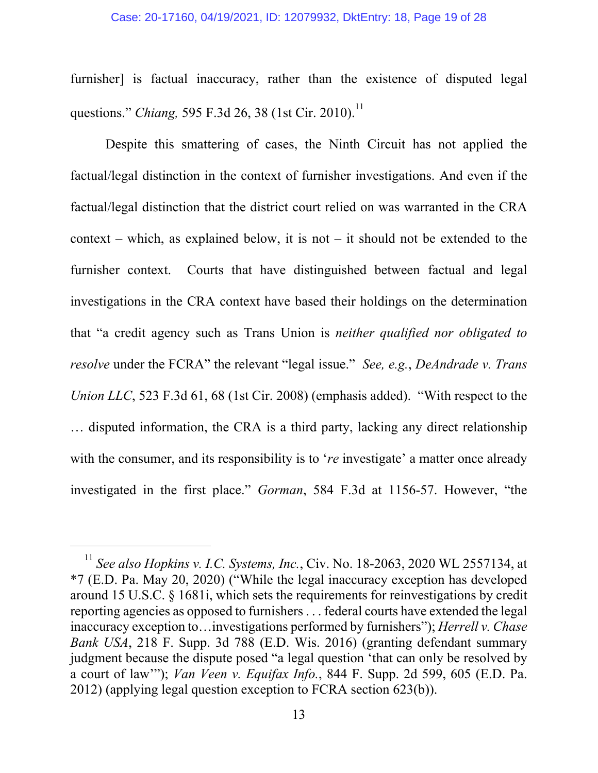#### Case: 20-17160, 04/19/2021, ID: 12079932, DktEntry: 18, Page 19 of 28

furnisher] is factual inaccuracy, rather than the existence of disputed legal questions." *Chiang,* 595 F.3d 26, 38 (1st Cir. 2010).<sup>11</sup>

Despite this smattering of cases, the Ninth Circuit has not applied the factual/legal distinction in the context of furnisher investigations. And even if the factual/legal distinction that the district court relied on was warranted in the CRA context – which, as explained below, it is not – it should not be extended to the furnisher context. Courts that have distinguished between factual and legal investigations in the CRA context have based their holdings on the determination that "a credit agency such as Trans Union is *neither qualified nor obligated to resolve* under the FCRA" the relevant "legal issue." *See, e.g.*, *DeAndrade v. Trans Union LLC*, 523 F.3d 61, 68 (1st Cir. 2008) (emphasis added). "With respect to the … disputed information, the CRA is a third party, lacking any direct relationship with the consumer, and its responsibility is to '*re* investigate' a matter once already investigated in the first place." *Gorman*, 584 F.3d at 1156-57. However, "the

<sup>11</sup> *See also Hopkins v. I.C. Systems, Inc.*, Civ. No. 18-2063, 2020 WL 2557134, at \*7 (E.D. Pa. May 20, 2020) ("While the legal inaccuracy exception has developed around 15 U.S.C. § 1681i, which sets the requirements for reinvestigations by credit reporting agencies as opposed to furnishers . . . federal courts have extended the legal inaccuracy exception to…investigations performed by furnishers"); *Herrell v. Chase Bank USA*, 218 F. Supp. 3d 788 (E.D. Wis. 2016) (granting defendant summary judgment because the dispute posed "a legal question 'that can only be resolved by a court of law'"); *Van Veen v. Equifax Info.*, 844 F. Supp. 2d 599, 605 (E.D. Pa. 2012) (applying legal question exception to FCRA section 623(b)).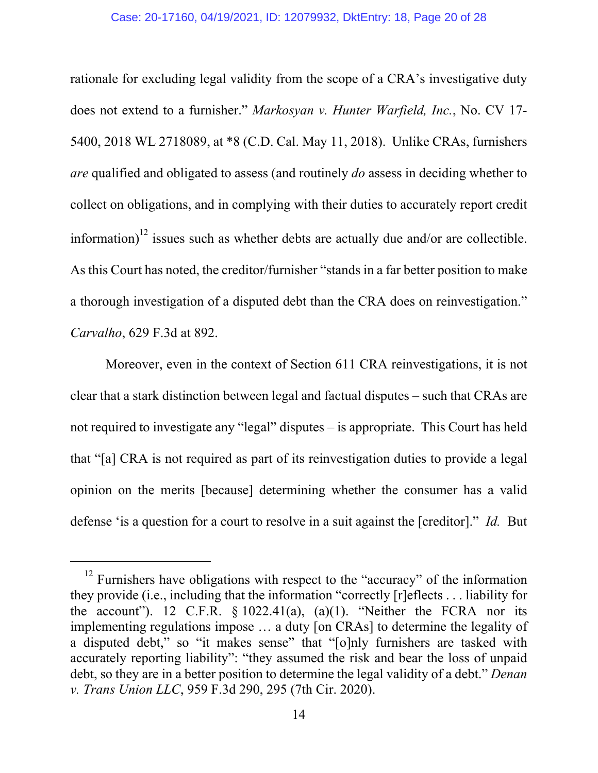rationale for excluding legal validity from the scope of a CRA's investigative duty does not extend to a furnisher." *Markosyan v. Hunter Warfield, Inc.*, No. CV 17- 5400, 2018 WL 2718089, at \*8 (C.D. Cal. May 11, 2018). Unlike CRAs, furnishers *are* qualified and obligated to assess (and routinely *do* assess in deciding whether to collect on obligations, and in complying with their duties to accurately report credit information)<sup>12</sup> issues such as whether debts are actually due and/or are collectible. As this Court has noted, the creditor/furnisher "stands in a far better position to make a thorough investigation of a disputed debt than the CRA does on reinvestigation." *Carvalho*, 629 F.3d at 892.

Moreover, even in the context of Section 611 CRA reinvestigations, it is not clear that a stark distinction between legal and factual disputes – such that CRAs are not required to investigate any "legal" disputes – is appropriate. This Court has held that "[a] CRA is not required as part of its reinvestigation duties to provide a legal opinion on the merits [because] determining whether the consumer has a valid defense 'is a question for a court to resolve in a suit against the [creditor]." *Id.* But

 $12$  Furnishers have obligations with respect to the "accuracy" of the information they provide (i.e., including that the information "correctly [r]eflects . . . liability for the account"). 12 C.F.R.  $\S 1022.41(a)$ ,  $(a)(1)$ . "Neither the FCRA nor its implementing regulations impose … a duty [on CRAs] to determine the legality of a disputed debt," so "it makes sense" that "[o]nly furnishers are tasked with accurately reporting liability": "they assumed the risk and bear the loss of unpaid debt, so they are in a better position to determine the legal validity of a debt." *Denan v. Trans Union LLC*, 959 F.3d 290, 295 (7th Cir. 2020).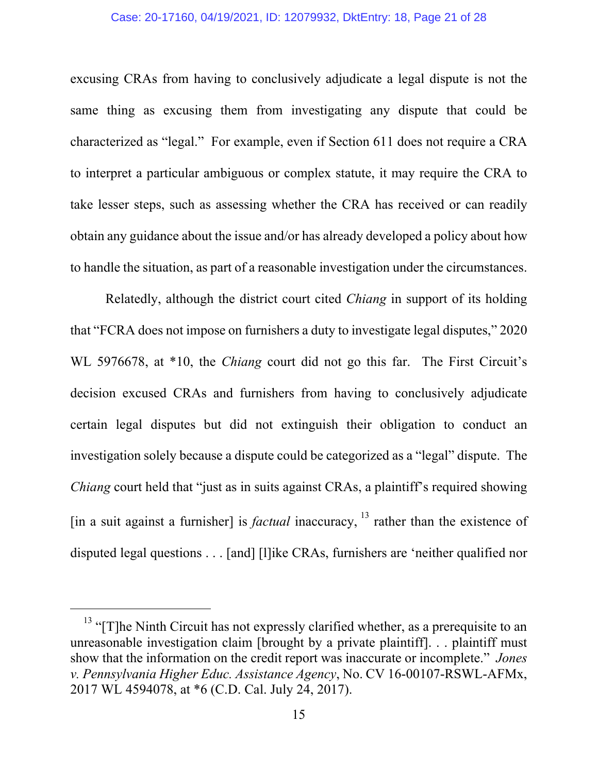### Case: 20-17160, 04/19/2021, ID: 12079932, DktEntry: 18, Page 21 of 28

excusing CRAs from having to conclusively adjudicate a legal dispute is not the same thing as excusing them from investigating any dispute that could be characterized as "legal." For example, even if Section 611 does not require a CRA to interpret a particular ambiguous or complex statute, it may require the CRA to take lesser steps, such as assessing whether the CRA has received or can readily obtain any guidance about the issue and/or has already developed a policy about how to handle the situation, as part of a reasonable investigation under the circumstances.

Relatedly, although the district court cited *Chiang* in support of its holding that "FCRA does not impose on furnishers a duty to investigate legal disputes," 2020 WL 5976678, at \*10, the *Chiang* court did not go this far. The First Circuit's decision excused CRAs and furnishers from having to conclusively adjudicate certain legal disputes but did not extinguish their obligation to conduct an investigation solely because a dispute could be categorized as a "legal" dispute. The *Chiang* court held that "just as in suits against CRAs, a plaintiff's required showing [in a suit against a furnisher] is *factual* inaccuracy,  $13$  rather than the existence of disputed legal questions . . . [and] [l]ike CRAs, furnishers are 'neither qualified nor

<sup>&</sup>lt;sup>13</sup> "[T]he Ninth Circuit has not expressly clarified whether, as a prerequisite to an unreasonable investigation claim [brought by a private plaintiff]. . . plaintiff must show that the information on the credit report was inaccurate or incomplete." *Jones v. Pennsylvania Higher Educ. Assistance Agency*, No. CV 16-00107-RSWL-AFMx, 2017 WL 4594078, at \*6 (C.D. Cal. July 24, 2017).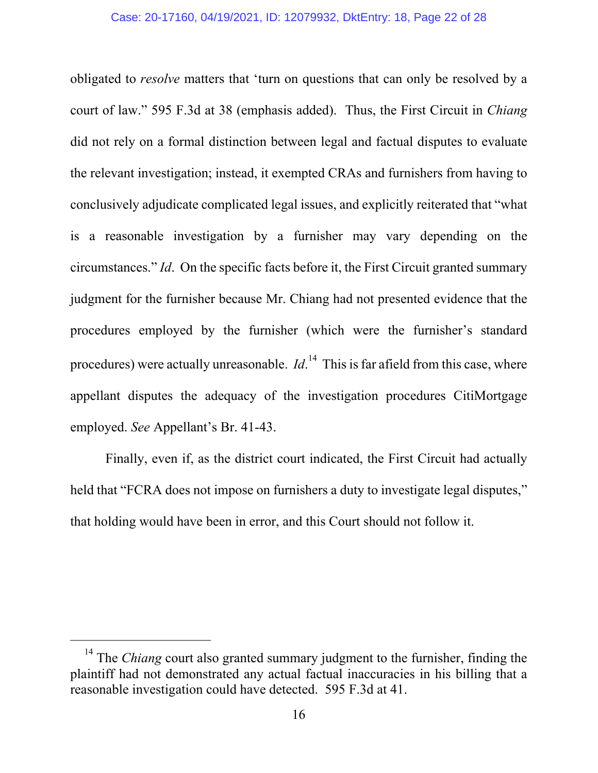obligated to *resolve* matters that 'turn on questions that can only be resolved by a court of law." 595 F.3d at 38 (emphasis added). Thus, the First Circuit in *Chiang* did not rely on a formal distinction between legal and factual disputes to evaluate the relevant investigation; instead, it exempted CRAs and furnishers from having to conclusively adjudicate complicated legal issues, and explicitly reiterated that "what is a reasonable investigation by a furnisher may vary depending on the circumstances." *Id*. On the specific facts before it, the First Circuit granted summary judgment for the furnisher because Mr. Chiang had not presented evidence that the procedures employed by the furnisher (which were the furnisher's standard procedures) were actually unreasonable. *Id*.<sup>14</sup> This is far afield from this case, where appellant disputes the adequacy of the investigation procedures CitiMortgage employed. *See* Appellant's Br. 41-43.

Finally, even if, as the district court indicated, the First Circuit had actually held that "FCRA does not impose on furnishers a duty to investigate legal disputes," that holding would have been in error, and this Court should not follow it.

<sup>&</sup>lt;sup>14</sup> The *Chiang* court also granted summary judgment to the furnisher, finding the plaintiff had not demonstrated any actual factual inaccuracies in his billing that a reasonable investigation could have detected. 595 F.3d at 41.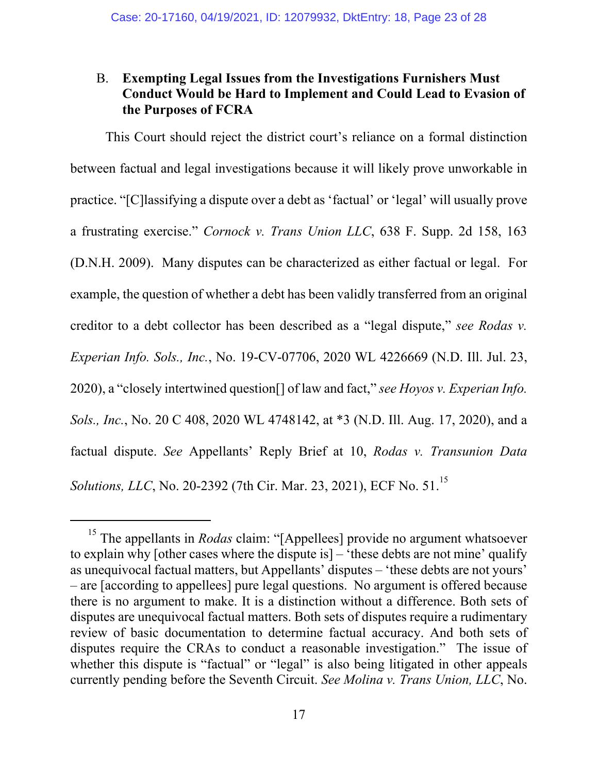# B. **Exempting Legal Issues from the Investigations Furnishers Must Conduct Would be Hard to Implement and Could Lead to Evasion of the Purposes of FCRA**

This Court should reject the district court's reliance on a formal distinction between factual and legal investigations because it will likely prove unworkable in practice. "[C]lassifying a dispute over a debt as 'factual' or 'legal' will usually prove a frustrating exercise." *Cornock v. Trans Union LLC*, 638 F. Supp. 2d 158, 163 (D.N.H. 2009). Many disputes can be characterized as either factual or legal. For example, the question of whether a debt has been validly transferred from an original creditor to a debt collector has been described as a "legal dispute," *see Rodas v. Experian Info. Sols., Inc.*, No. 19-CV-07706, 2020 WL 4226669 (N.D. Ill. Jul. 23, 2020), a "closely intertwined question[] of law and fact," *see Hoyos v. Experian Info. Sols., Inc.*, No. 20 C 408, 2020 WL 4748142, at \*3 (N.D. Ill. Aug. 17, 2020), and a factual dispute. *See* Appellants' Reply Brief at 10, *Rodas v. Transunion Data Solutions, LLC*, No. 20-2392 (7th Cir. Mar. 23, 2021), ECF No. 51.<sup>15</sup>

<sup>&</sup>lt;sup>15</sup> The appellants in *Rodas* claim: "[Appellees] provide no argument whatsoever to explain why [other cases where the dispute is] – 'these debts are not mine' qualify as unequivocal factual matters, but Appellants' disputes – 'these debts are not yours' – are [according to appellees] pure legal questions. No argument is offered because there is no argument to make. It is a distinction without a difference. Both sets of disputes are unequivocal factual matters. Both sets of disputes require a rudimentary review of basic documentation to determine factual accuracy. And both sets of disputes require the CRAs to conduct a reasonable investigation." The issue of whether this dispute is "factual" or "legal" is also being litigated in other appeals currently pending before the Seventh Circuit. *See Molina v. Trans Union, LLC*, No.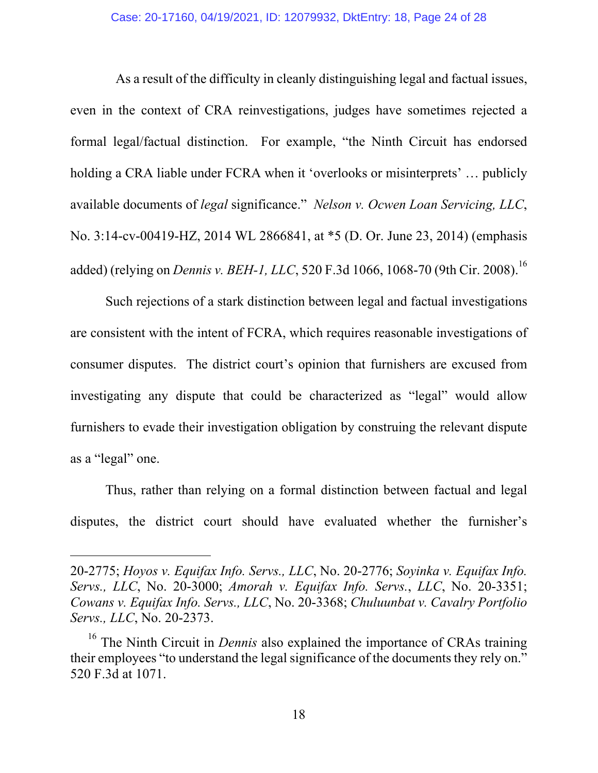As a result of the difficulty in cleanly distinguishing legal and factual issues, even in the context of CRA reinvestigations, judges have sometimes rejected a formal legal/factual distinction. For example, "the Ninth Circuit has endorsed holding a CRA liable under FCRA when it 'overlooks or misinterprets' … publicly available documents of *legal* significance." *Nelson v. Ocwen Loan Servicing, LLC*, No. 3:14-cv-00419-HZ, 2014 WL 2866841, at \*5 (D. Or. June 23, 2014) (emphasis added) (relying on *Dennis v. BEH-1, LLC*, 520 F.3d 1066, 1068-70 (9th Cir. 2008).<sup>16</sup>

Such rejections of a stark distinction between legal and factual investigations are consistent with the intent of FCRA, which requires reasonable investigations of consumer disputes. The district court's opinion that furnishers are excused from investigating any dispute that could be characterized as "legal" would allow furnishers to evade their investigation obligation by construing the relevant dispute as a "legal" one.

Thus, rather than relying on a formal distinction between factual and legal disputes, the district court should have evaluated whether the furnisher's

<sup>20-2775;</sup> *Hoyos v. Equifax Info. Servs., LLC*, No. 20-2776; *Soyinka v. Equifax Info. Servs., LLC*, No. 20-3000; *Amorah v. Equifax Info. Servs.*, *LLC*, No. 20-3351; *Cowans v. Equifax Info. Servs., LLC*, No. 20-3368; *Chuluunbat v. Cavalry Portfolio Servs., LLC*, No. 20-2373.

<sup>&</sup>lt;sup>16</sup> The Ninth Circuit in *Dennis* also explained the importance of CRAs training their employees "to understand the legal significance of the documents they rely on." 520 F.3d at 1071.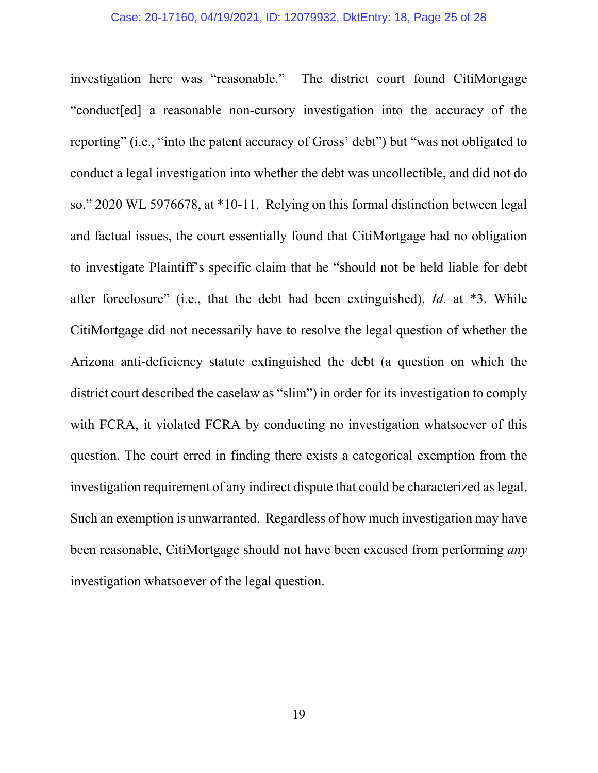#### Case: 20-17160, 04/19/2021, ID: 12079932, DktEntry: 18, Page 25 of 28

investigation here was "reasonable." The district court found CitiMortgage "conduct[ed] a reasonable non-cursory investigation into the accuracy of the reporting" (i.e., "into the patent accuracy of Gross' debt") but "was not obligated to conduct a legal investigation into whether the debt was uncollectible, and did not do so." 2020 WL 5976678, at \*10-11. Relying on this formal distinction between legal and factual issues, the court essentially found that CitiMortgage had no obligation to investigate Plaintiff's specific claim that he "should not be held liable for debt after foreclosure" (i.e., that the debt had been extinguished). *Id.* at \*3. While CitiMortgage did not necessarily have to resolve the legal question of whether the Arizona anti-deficiency statute extinguished the debt (a question on which the district court described the caselaw as "slim") in order for its investigation to comply with FCRA, it violated FCRA by conducting no investigation whatsoever of this question. The court erred in finding there exists a categorical exemption from the investigation requirement of any indirect dispute that could be characterized as legal. Such an exemption is unwarranted. Regardless of how much investigation may have been reasonable, CitiMortgage should not have been excused from performing *any* investigation whatsoever of the legal question.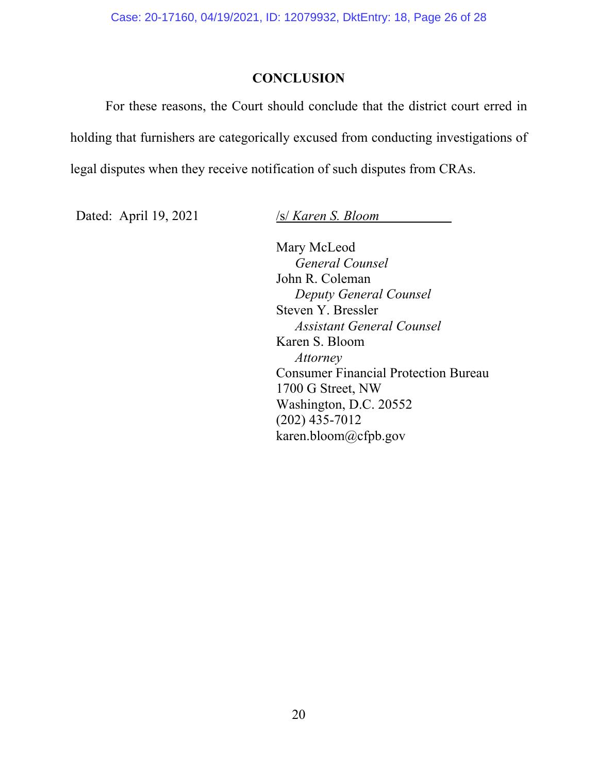## **CONCLUSION**

For these reasons, the Court should conclude that the district court erred in holding that furnishers are categorically excused from conducting investigations of legal disputes when they receive notification of such disputes from CRAs.

Dated: April 19, 2021 /s/ *Karen S. Bloom* 

Mary McLeod *General Counsel* John R. Coleman *Deputy General Counsel*  Steven Y. Bressler *Assistant General Counsel*  Karen S. Bloom *Attorney*  Consumer Financial Protection Bureau 1700 G Street, NW Washington, D.C. 20552 (202) 435-7012 karen.bloom@cfpb.gov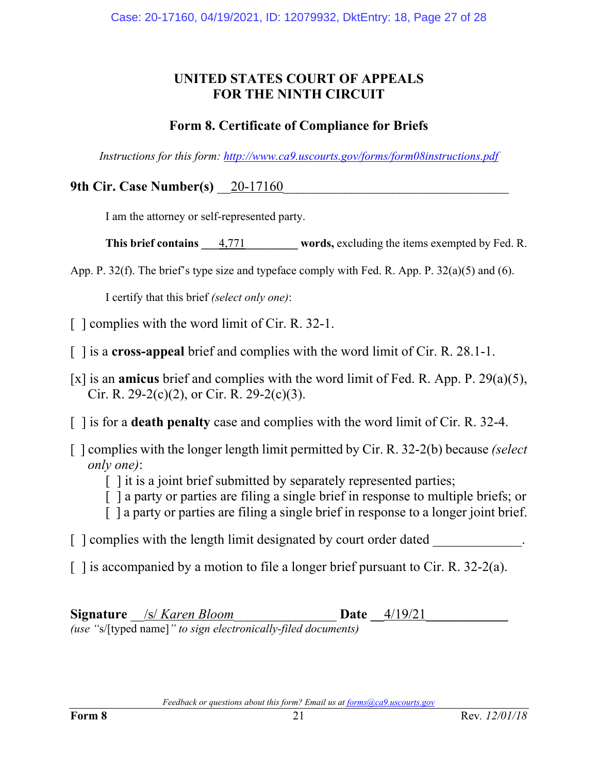# **UNITED STATES COURT OF APPEALS FOR THE NINTH CIRCUIT**

# **Form 8. Certificate of Compliance for Briefs**

*Instructions for this form: http://www.ca9.uscourts.gov/forms/form08instructions.pdf*

**9th Cir. Case Number(s)** 20-17160

I am the attorney or self-represented party.

**This brief contains**  $4,771$  words, excluding the items exempted by Fed. R.

App. P. 32(f). The brief's type size and typeface comply with Fed. R. App. P. 32(a)(5) and (6).

I certify that this brief *(select only one)*:

[ ] complies with the word limit of Cir. R. 32-1.

[ ] is a **cross-appeal** brief and complies with the word limit of Cir. R. 28.1-1.

[x] is an **amicus** brief and complies with the word limit of Fed. R. App. P. 29(a)(5), Cir. R. 29-2(c)(2), or Cir. R. 29-2(c)(3).

[ ] is for a **death penalty** case and complies with the word limit of Cir. R. 32-4.

- [ ] complies with the longer length limit permitted by Cir. R. 32-2(b) because *(select only one)*:
	- [ ] it is a joint brief submitted by separately represented parties;
	- [ ] a party or parties are filing a single brief in response to multiple briefs; or
	- [ ] a party or parties are filing a single brief in response to a longer joint brief.
- $\lceil$   $\lceil$  complies with the length limit designated by court order dated
- $\lceil$  1 is accompanied by a motion to file a longer brief pursuant to Cir. R. 32-2(a).

**Signature** /s/ *Karen Bloom* **Date \_\_4/19/21** *(use "*s/[typed name]*" to sign electronically-filed documents)*

*Feedback or questions about this form? Email us at forms@ca9.uscourts.gov*